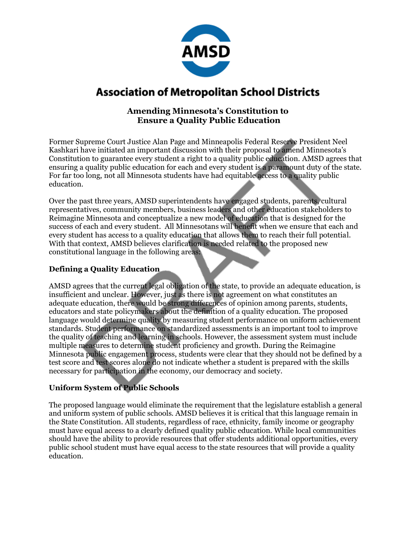

# **Association of Metropolitan School Districts**

## **Amending Minnesota's Constitution to Ensure a Quality Public Education**

Former Supreme Court Justice Alan Page and Minneapolis Federal Reserve President Neel Kashkari have initiated an important discussion with their proposal to amend Minnesota's Constitution to guarantee every student a right to a quality public education. AMSD agrees that ensuring a quality public education for each and every student is a paramount duty of the state. For far too long, not all Minnesota students have had equitable access to a quality public education.

Over the past three years, AMSD superintendents have engaged students, parents, cultural representatives, community members, business leaders and other education stakeholders to Reimagine Minnesota and conceptualize a new model of education that is designed for the success of each and every student. All Minnesotans will benefit when we ensure that each and every student has access to a quality education that allows them to reach their full potential. With that context, AMSD believes clarification is needed related to the proposed new constitutional language in the following areas:

## **Defining a Quality Education**

AMSD agrees that the current legal obligation of the state, to provide an adequate education, is insufficient and unclear. However, just as there is not agreement on what constitutes an adequate education, there would be strong differences of opinion among parents, students, educators and state policymakers about the definition of a quality education. The proposed language would determine quality by measuring student performance on uniform achievement standards. Student performance on standardized assessments is an important tool to improve the quality of teaching and learning in schools. However, the assessment system must include multiple measures to determine student proficiency and growth. During the Reimagine Minnesota public engagement process, students were clear that they should not be defined by a test score and test scores alone do not indicate whether a student is prepared with the skills necessary for participation in the economy, our democracy and society.

### **Uniform System of Public Schools**

The proposed language would eliminate the requirement that the legislature establish a general and uniform system of public schools. AMSD believes it is critical that this language remain in the State Constitution. All students, regardless of race, ethnicity, family income or geography must have equal access to a clearly defined quality public education. While local communities should have the ability to provide resources that offer students additional opportunities, every public school student must have equal access to the state resources that will provide a quality education.